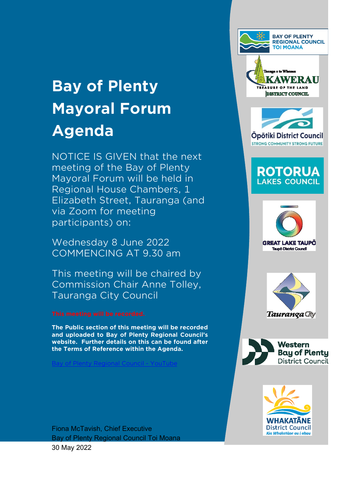# **Bay of Plenty Mayoral Forum Agenda**

NOTICE IS GIVEN that the next meeting of the Bay of Plenty Mayoral Forum will be held in Regional House Chambers, 1 Elizabeth Street, Tauranga (and via Zoom for meeting participants) on:

Wednesday 8 June 2022 COMMENCING AT 9.30 am

This meeting will be chaired by Commission Chair Anne Tolley, Tauranga City Council

**The Public section of this meeting will be recorded and uploaded to Bay of Plenty Regional Council's [website. Further details on this can be fo](https://www.youtube.com/user/bopregionalcouncil)und after the Terms of Reference within the Agenda.** 

**Plenty Regional Council - YouTub** 



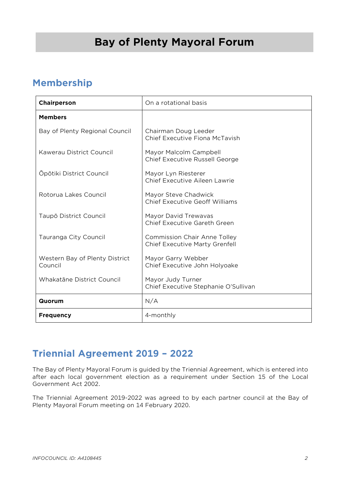## **Bay of Plenty Mayoral Forum**

## **Membership**

| Chairperson                               | On a rotational basis                                                        |
|-------------------------------------------|------------------------------------------------------------------------------|
| <b>Members</b>                            |                                                                              |
| Bay of Plenty Regional Council            | Chairman Doug Leeder<br>Chief Executive Fiona McTavish                       |
| Kawerau District Council                  | Mayor Malcolm Campbell<br><b>Chief Executive Russell George</b>              |
| Ōpōtiki District Council                  | Mayor Lyn Riesterer<br>Chief Executive Aileen Lawrie                         |
| Rotorua Lakes Council                     | Mayor Steve Chadwick<br><b>Chief Executive Geoff Williams</b>                |
| Taupō District Council                    | Mayor David Trewavas<br>Chief Executive Gareth Green                         |
| Tauranga City Council                     | <b>Commission Chair Anne Tolley</b><br><b>Chief Executive Marty Grenfell</b> |
| Western Bay of Plenty District<br>Council | Mayor Garry Webber<br>Chief Executive John Holyoake                          |
| Whakatāne District Council                | Mayor Judy Turner<br>Chief Executive Stephanie O'Sullivan                    |
| Quorum                                    | N/A                                                                          |
| <b>Frequency</b>                          | 4-monthly                                                                    |

## **Triennial Agreement 2019 – 2022**

The Bay of Plenty Mayoral Forum is guided by the Triennial Agreement, which is entered into after each local government election as a requirement under Section 15 of the Local Government Act 2002.

The Triennial Agreement 2019-2022 was agreed to by each partner council at the Bay of Plenty Mayoral Forum meeting on 14 February 2020.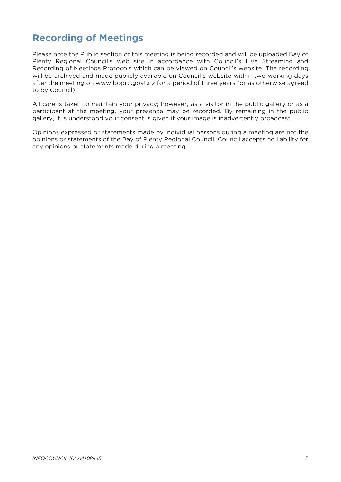## **Recording of Meetings**

Please note the Public section of this meeting is being recorded and will be uploaded Bay of Plenty Regional Council's web site in accordance with Council's Live Streaming and Recording of Meetings Protocols which can be viewed on Council's website. The recording will be archived and made publicly available on Council's website within two working days after the meeting on www.boprc.govt.nz for a period of three years (or as otherwise agreed to by Council).

All care is taken to maintain your privacy; however, as a visitor in the public gallery or as a participant at the meeting, your presence may be recorded. By remaining in the public gallery, it is understood your consent is given if your image is inadvertently broadcast.

Opinions expressed or statements made by individual persons during a meeting are not the opinions or statements of the Bay of Plenty Regional Council. Council accepts no liability for any opinions or statements made during a meeting.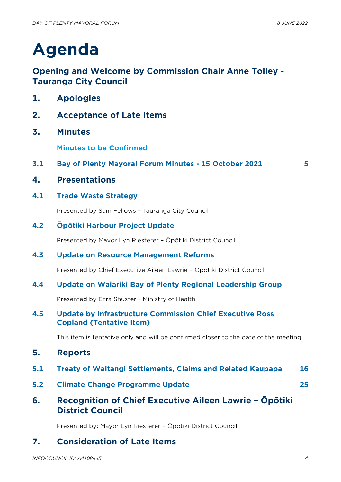# **Agenda**

## **Opening and Welcome by Commission Chair Anne Tolley - Tauranga City Council**

- **1. Apologies**
- **2. Acceptance of Late Items**
- **3. Minutes**

**Minutes to be Confirmed**

- **3.1 Bay of Plenty Mayoral Forum Minutes - 15 October 2021 [5](#page-4-0)**
	-

- **4. Presentations**
- **4.1 Trade Waste Strategy**

Presented by Sam Fellows - Tauranga City Council

**4.2 Ōpōtiki Harbour Project Update**

Presented by Mayor Lyn Riesterer – Ōpōtiki District Council

## **4.3 Update on Resource Management Reforms**

Presented by Chief Executive Aileen Lawrie – Ōpōtiki District Council

## **4.4 Update on Waiariki Bay of Plenty Regional Leadership Group**

Presented by Ezra Shuster - Ministry of Health

## **4.5 Update by Infrastructure Commission Chief Executive Ross Copland (Tentative Item)**

This item is tentative only and will be confirmed closer to the date of the meeting.

- **5. Reports**
- **5.1 Treaty of Waitangi Settlements, Claims and Related Kaupapa [16](#page-15-0)**
- **5.2 Climate Change Programme Update [25](#page-24-0)**
- **6. Recognition of Chief Executive Aileen Lawrie – Ōpōtiki District Council**

Presented by: Mayor Lyn Riesterer – Ōpōtiki District Council

## **7. Consideration of Late Items**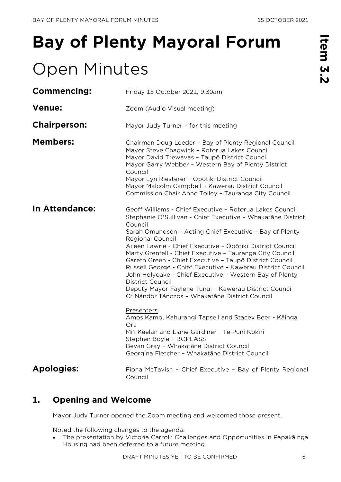# <span id="page-4-0"></span>**Bay of Plenty Mayoral Forum**

## Open Minutes

| —        |  |
|----------|--|
| Œ        |  |
|          |  |
| 3        |  |
|          |  |
|          |  |
| <u>ပ</u> |  |
|          |  |
|          |  |
| V.       |  |
|          |  |
|          |  |

| <b>Commencing:</b>    | Friday 15 October 2021, 9.30am                                                                                                                                                                                                                                                                                                                                                                                                                                                                                                                                                                                                                                         |
|-----------------------|------------------------------------------------------------------------------------------------------------------------------------------------------------------------------------------------------------------------------------------------------------------------------------------------------------------------------------------------------------------------------------------------------------------------------------------------------------------------------------------------------------------------------------------------------------------------------------------------------------------------------------------------------------------------|
| <b>Venue:</b>         | Zoom (Audio Visual meeting)                                                                                                                                                                                                                                                                                                                                                                                                                                                                                                                                                                                                                                            |
| <b>Chairperson:</b>   | Mayor Judy Turner - for this meeting                                                                                                                                                                                                                                                                                                                                                                                                                                                                                                                                                                                                                                   |
| <b>Members:</b>       | Chairman Doug Leeder - Bay of Plenty Regional Council<br>Mayor Steve Chadwick - Rotorua Lakes Council<br>Mayor David Trewavas - Taupō District Council<br>Mayor Garry Webber - Western Bay of Plenty District<br>Council<br>Mayor Lyn Riesterer - Ōpōtiki District Council<br>Mayor Malcolm Campbell - Kawerau District Council<br>Commission Chair Anne Tolley - Tauranga City Council                                                                                                                                                                                                                                                                                |
| <b>In Attendance:</b> | Geoff Williams - Chief Executive - Rotorua Lakes Council<br>Stephanie O'Sullivan - Chief Executive - Whakatāne District<br>Council<br>Sarah Omundsen - Acting Chief Executive - Bay of Plenty<br><b>Regional Council</b><br>Aileen Lawrie - Chief Executive - Ōpōtiki District Council<br>Marty Grenfell - Chief Executive - Tauranga City Council<br>Gareth Green - Chief Executive - Taupō District Council<br>Russell George - Chief Executive - Kawerau District Council<br>John Holyoake - Chief Executive - Western Bay of Plenty<br>District Council<br>Deputy Mayor Faylene Tunui - Kawerau District Council<br>Cr Nándor Tánczos - Whakatāne District Council |
|                       | <b>Presenters</b><br>Amos Kamo, Kahurangi Tapsell and Stacey Beer - Kāinga<br>Ora<br>Mi'i Keelan and Liane Gardiner - Te Puni Kōkiri<br>Stephen Boyle - BOPLASS<br>Bevan Gray - Whakatāne District Council<br>Georgina Fletcher - Whakatāne District Council                                                                                                                                                                                                                                                                                                                                                                                                           |
| <b>Apologies:</b>     | Fiona McTavish - Chief Executive - Bay of Plenty Regional<br>Council                                                                                                                                                                                                                                                                                                                                                                                                                                                                                                                                                                                                   |

## **1. Opening and Welcome**

Mayor Judy Turner opened the Zoom meeting and welcomed those present.

Noted the following changes to the agenda:

• The presentation by Victoria Carroll: Challenges and Opportunities in Papakāinga Housing had been deferred to a future meeting.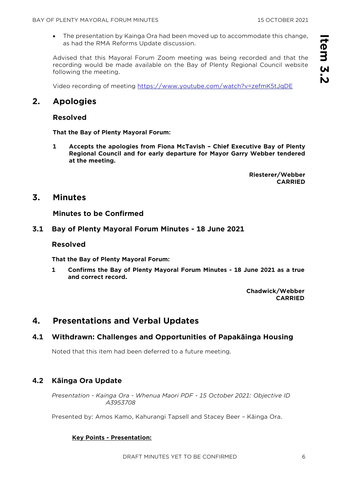• The presentation by Kainga Ora had been moved up to accommodate this change, as had the RMA Reforms Update discussion.

Advised that this Mayoral Forum Zoom meeting was being recorded and that the recording would be made available on the Bay of Plenty Regional Council website following the meeting.

Video recording of meeting<https://www.youtube.com/watch?v=zefmK5tJqDE>

## **2. Apologies**

## **Resolved**

**That the Bay of Plenty Mayoral Forum:**

**1 Accepts the apologies from Fiona McTavish – Chief Executive Bay of Plenty Regional Council and for early departure for Mayor Garry Webber tendered at the meeting.**

> **Riesterer/Webber CARRIED**

## **3. Minutes**

**Minutes to be Confirmed**

## **3.1 Bay of Plenty Mayoral Forum Minutes - 18 June 2021**

## **Resolved**

**That the Bay of Plenty Mayoral Forum:**

**1 Confirms the Bay of Plenty Mayoral Forum Minutes - 18 June 2021 as a true and correct record.**

> **Chadwick/Webber CARRIED**

## **4. Presentations and Verbal Updates**

## **4.1 Withdrawn: Challenges and Opportunities of Papakāinga Housing**

Noted that this item had been deferred to a future meeting.

## **4.2 Kāinga Ora Update**

*Presentation - Kainga Ora - Whenua Maori PDF - 15 October 2021: Objective ID A3953708* 

Presented by: Amos Kamo, Kahurangi Tapsell and Stacey Beer – Kāinga Ora.

## **Key Points - Presentation:**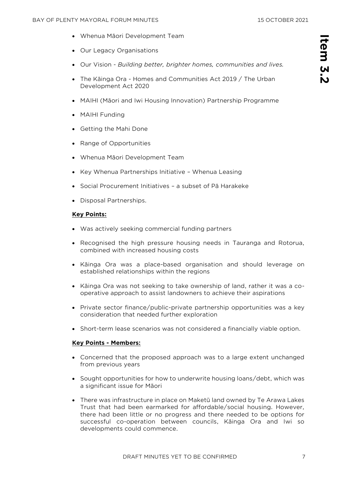**Item 3.2**

tem 3.

- Whenua Māori Development Team
- Our Legacy Organisations
- Our Vision *Building better, brighter homes, communities and lives.*
- The Kāinga Ora Homes and Communities Act 2019 / The Urban Development Act 2020
- MAIHI (Māori and Iwi Housing Innovation) Partnership Programme
- MAIHI Funding
- Getting the Mahi Done
- Range of Opportunities
- Whenua Māori Development Team
- Key Whenua Partnerships Initiative Whenua Leasing
- Social Procurement Initiatives a subset of Pā Harakeke
- Disposal Partnerships.

#### **Key Points:**

- Was actively seeking commercial funding partners
- Recognised the high pressure housing needs in Tauranga and Rotorua, combined with increased housing costs
- Kāinga Ora was a place-based organisation and should leverage on established relationships within the regions
- Kāinga Ora was not seeking to take ownership of land, rather it was a cooperative approach to assist landowners to achieve their aspirations
- Private sector finance/public-private partnership opportunities was a key consideration that needed further exploration
- Short-term lease scenarios was not considered a financially viable option.

#### **Key Points - Members:**

- Concerned that the proposed approach was to a large extent unchanged from previous years
- Sought opportunities for how to underwrite housing loans/debt, which was a significant issue for Māori
- There was infrastructure in place on Maketū land owned by Te Arawa Lakes Trust that had been earmarked for affordable/social housing. However, there had been little or no progress and there needed to be options for successful co-operation between councils, Kāinga Ora and Iwi so developments could commence.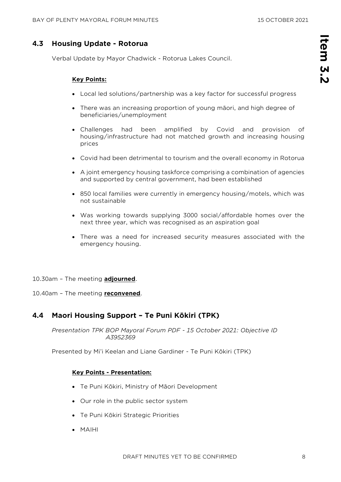## **4.3 Housing Update - Rotorua**

Verbal Update by Mayor Chadwick - Rotorua Lakes Council.

#### **Key Points:**

- Local led solutions/partnership was a key factor for successful progress
- There was an increasing proportion of young māori, and high degree of beneficiaries/unemployment
- Challenges had been amplified by Covid and provision of housing/infrastructure had not matched growth and increasing housing prices
- Covid had been detrimental to tourism and the overall economy in Rotorua
- A joint emergency housing taskforce comprising a combination of agencies and supported by central government, had been established
- 850 local families were currently in emergency housing/motels, which was not sustainable
- Was working towards supplying 3000 social/affordable homes over the next three year, which was recognised as an aspiration goal
- There was a need for increased security measures associated with the emergency housing.
- 10.30am The meeting **adjourned**.

10.40am – The meeting **reconvened**.

## **4.4 Maori Housing Support – Te Puni Kōkiri (TPK)**

*Presentation TPK BOP Mayoral Forum PDF - 15 October 2021: Objective ID A3952369* 

Presented by Mi'i Keelan and Liane Gardiner - Te Puni Kōkiri (TPK)

#### **Key Points - Presentation:**

- Te Puni Kōkiri, Ministry of Māori Development
- Our role in the public sector system
- Te Puni Kōkiri Strategic Priorities
- MAIHI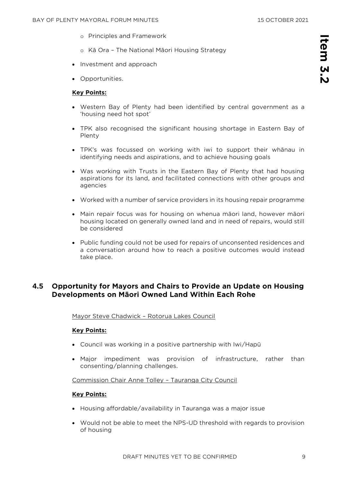- o Principles and Framework
- o Kā Ora The National Māori Housing Strategy
- Investment and approach
- Opportunities.

#### **Key Points:**

- Western Bay of Plenty had been identified by central government as a 'housing need hot spot'
- TPK also recognised the significant housing shortage in Eastern Bay of Plenty
- TPK's was focussed on working with iwi to support their whānau in identifying needs and aspirations, and to achieve housing goals
- Was working with Trusts in the Eastern Bay of Plenty that had housing aspirations for its land, and facilitated connections with other groups and agencies
- Worked with a number of service providers in its housing repair programme
- Main repair focus was for housing on whenua māori land, however māori housing located on generally owned land and in need of repairs, would still be considered
- Public funding could not be used for repairs of unconsented residences and a conversation around how to reach a positive outcomes would instead take place.

## **4.5 Opportunity for Mayors and Chairs to Provide an Update on Housing Developments on Māori Owned Land Within Each Rohe**

Mayor Steve Chadwick – Rotorua Lakes Council

#### **Key Points:**

- Council was working in a positive partnership with Iwi/Hapū
- Major impediment was provision of infrastructure, rather than consenting/planning challenges.

Commission Chair Anne Tolley – Tauranga City Council

#### **Key Points:**

- Housing affordable/availability in Tauranga was a major issue
- Would not be able to meet the NPS-UD threshold with regards to provision of housing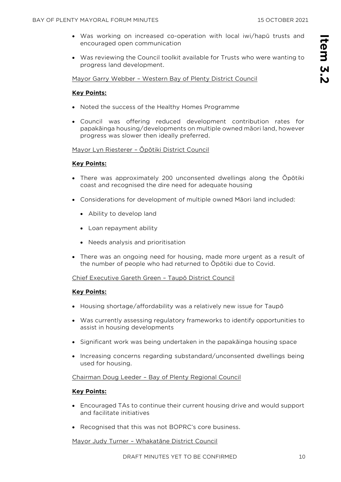- Was working on increased co-operation with local iwi/hapū trusts and encouraged open communication
- Was reviewing the Council toolkit available for Trusts who were wanting to progress land development.

Mayor Garry Webber – Western Bay of Plenty District Council

## **Key Points:**

- Noted the success of the Healthy Homes Programme
- Council was offering reduced development contribution rates for papakāinga housing/developments on multiple owned māori land, however progress was slower then ideally preferred.

#### Mayor Lyn Riesterer – Ōpōtiki District Council

#### **Key Points:**

- There was approximately 200 unconsented dwellings along the Ōpōtiki coast and recognised the dire need for adequate housing
- Considerations for development of multiple owned Māori land included:
	- Ability to develop land
	- Loan repayment ability
	- Needs analysis and prioritisation
- There was an ongoing need for housing, made more urgent as a result of the number of people who had returned to Ōpōtiki due to Covid.

#### Chief Executive Gareth Green – Taupō District Council

#### **Key Points:**

- Housing shortage/affordability was a relatively new issue for Taupō
- Was currently assessing regulatory frameworks to identify opportunities to assist in housing developments
- Significant work was being undertaken in the papakāinga housing space
- Increasing concerns regarding substandard/unconsented dwellings being used for housing.

#### Chairman Doug Leeder – Bay of Plenty Regional Council

#### **Key Points:**

- Encouraged TAs to continue their current housing drive and would support and facilitate initiatives
- Recognised that this was not BOPRC's core business.

Mayor Judy Turner – Whakatāne District Council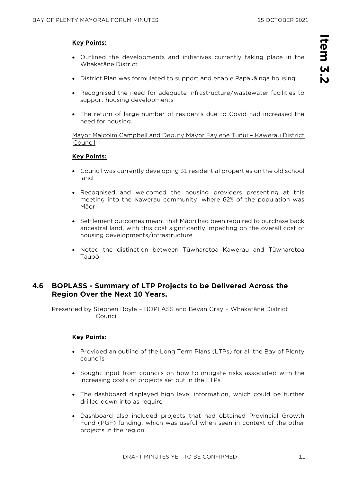#### **Key Points:**

- Outlined the developments and initiatives currently taking place in the Whakatāne District
- District Plan was formulated to support and enable Papakāinga housing
- Recognised the need for adequate infrastructure/wastewater facilities to support housing developments
- The return of large number of residents due to Covid had increased the need for housing.

Mayor Malcolm Campbell and Deputy Mayor Faylene Tunui – Kawerau District Council

#### **Key Points:**

- Council was currently developing 31 residential properties on the old school land
- Recognised and welcomed the housing providers presenting at this meeting into the Kawerau community, where 62% of the population was Māori
- Settlement outcomes meant that Māori had been required to purchase back ancestral land, with this cost significantly impacting on the overall cost of housing developments/infrastructure
- Noted the distinction between Tūwharetoa Kawerau and Tūwharetoa Taupō.

## **4.6 BOPLASS - Summary of LTP Projects to be Delivered Across the Region Over the Next 10 Years.**

Presented by Stephen Boyle – BOPLASS and Bevan Gray – Whakatāne District Council.

#### **Key Points:**

- Provided an outline of the Long Term Plans (LTPs) for all the Bay of Plenty councils
- Sought input from councils on how to mitigate risks associated with the increasing costs of projects set out in the LTPs
- The dashboard displayed high level information, which could be further drilled down into as require
- Dashboard also included projects that had obtained Provincial Growth Fund (PGF) funding, which was useful when seen in context of the other projects in the region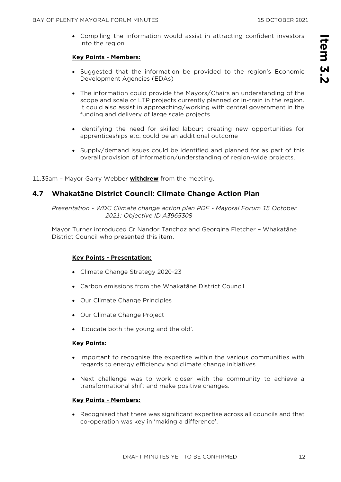• Compiling the information would assist in attracting confident investors into the region.

#### **Key Points - Members:**

- Suggested that the information be provided to the region's Economic Development Agencies (EDAs)
- The information could provide the Mayors/Chairs an understanding of the scope and scale of LTP projects currently planned or in-train in the region. It could also assist in approaching/working with central government in the funding and delivery of large scale projects
- Identifying the need for skilled labour; creating new opportunities for apprenticeships etc. could be an additional outcome
- Supply/demand issues could be identified and planned for as part of this overall provision of information/understanding of region-wide projects.

11.35am – Mayor Garry Webber **withdrew** from the meeting.

## **4.7 Whakatāne District Council: Climate Change Action Plan**

*Presentation - WDC Climate change action plan PDF - Mayoral Forum 15 October 2021: Objective ID A3965308* 

Mayor Turner introduced Cr Nandor Tanchoz and Georgina Fletcher – Whakatāne District Council who presented this item.

## **Key Points - Presentation:**

- Climate Change Strategy 2020-23
- Carbon emissions from the Whakatāne District Council
- Our Climate Change Principles
- Our Climate Change Project
- 'Educate both the young and the old'.

#### **Key Points:**

- Important to recognise the expertise within the various communities with regards to energy efficiency and climate change initiatives
- Next challenge was to work closer with the community to achieve a transformational shift and make positive changes.

#### **Key Points - Members:**

• Recognised that there was significant expertise across all councils and that co-operation was key in 'making a difference'.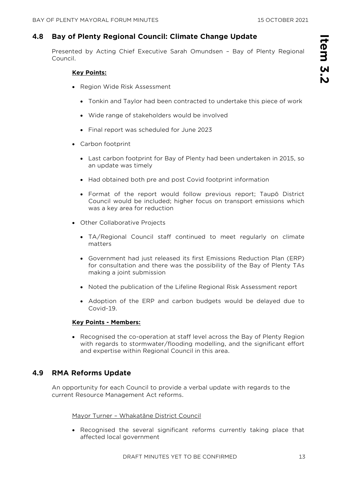## **4.8 Bay of Plenty Regional Council: Climate Change Update**

Presented by Acting Chief Executive Sarah Omundsen – Bay of Plenty Regional Council.

## **Key Points:**

- Region Wide Risk Assessment
	- Tonkin and Taylor had been contracted to undertake this piece of work
	- Wide range of stakeholders would be involved
	- Final report was scheduled for June 2023
- Carbon footprint
	- Last carbon footprint for Bay of Plenty had been undertaken in 2015, so an update was timely
	- Had obtained both pre and post Covid footprint information
	- Format of the report would follow previous report; Taupō District Council would be included; higher focus on transport emissions which was a key area for reduction
- Other Collaborative Projects
	- TA/Regional Council staff continued to meet regularly on climate matters
	- Government had just released its first Emissions Reduction Plan (ERP) for consultation and there was the possibility of the Bay of Plenty TAs making a joint submission
	- Noted the publication of the Lifeline Regional Risk Assessment report
	- Adoption of the ERP and carbon budgets would be delayed due to Covid-19.

## **Key Points - Members:**

• Recognised the co-operation at staff level across the Bay of Plenty Region with regards to stormwater/flooding modelling, and the significant effort and expertise within Regional Council in this area.

## **4.9 RMA Reforms Update**

An opportunity for each Council to provide a verbal update with regards to the current Resource Management Act reforms.

Mayor Turner – Whakatāne District Council

• Recognised the several significant reforms currently taking place that affected local government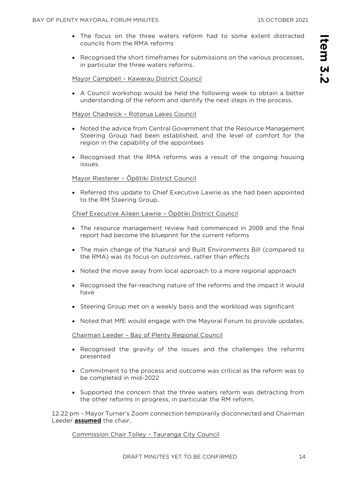- The focus on the three waters reform had to some extent distracted councils from the RMA reforms
- Recognised the short timeframes for submissions on the various processes, in particular the three waters reforms.

#### Mayor Campbell – Kawerau District Council

• A Council workshop would be held the following week to obtain a better understanding of the reform and identify the next steps in the process.

#### Mayor Chadwick – Rotorua Lakes Council

- Noted the advice from Central Government that the Resource Management Steering Group had been established, and the level of comfort for the region in the capability of the appointees
- Recognised that the RMA reforms was a result of the ongoing housing issues.

## Mayor Riesterer – Ōpōtiki District Council

• Referred this update to Chief Executive Lawrie as she had been appointed to the RM Steering Group.

#### Chief Executive Aileen Lawrie – Ōpōtiki District Council

- The resource management review had commenced in 2009 and the final report had become the blueprint for the current reforms
- The main change of the Natural and Built Environments Bill (compared to the RMA) was its focus on *outcomes*, rather than *effects*
- Noted the move away from local approach to a more regional approach
- Recognised the far-reaching nature of the reforms and the impact it would have
- Steering Group met on a weekly basis and the workload was significant
- Noted that MfE would engage with the Mayoral Forum to provide updates.

#### Chairman Leeder – Bay of Plenty Regional Council

- Recognised the gravity of the issues and the challenges the reforms presented
- Commitment to the process and outcome was critical as the reform was to be completed in mid-2022
- Supported the concern that the three waters reform was detracting from the other reforms in progress, in particular the RM reform.

12.22 pm – Mayor Turner's Zoom connection temporarily disconnected and Chairman Leeder **assumed** the chair.

#### Commission Chair Tolley – Tauranga City Council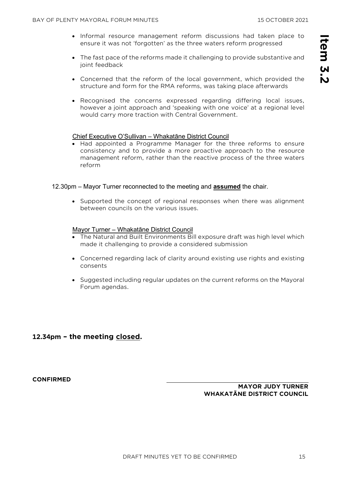- Informal resource management reform discussions had taken place to ensure it was not 'forgotten' as the three waters reform progressed
- The fast pace of the reforms made it challenging to provide substantive and joint feedback
- Concerned that the reform of the local government, which provided the structure and form for the RMA reforms, was taking place afterwards
- Recognised the concerns expressed regarding differing local issues, however a joint approach and 'speaking with one voice' at a regional level would carry more traction with Central Government.

#### Chief Executive O'Sullivan – Whakatāne District Council

• Had appointed a Programme Manager for the three reforms to ensure consistency and to provide a more proactive approach to the resource management reform, rather than the reactive process of the three waters reform

#### 12.30pm – Mayor Turner reconnected to the meeting and **assumed** the chair.

• Supported the concept of regional responses when there was alignment between councils on the various issues.

#### Mayor Turner – Whakatāne District Council

- The Natural and Built Environments Bill exposure draft was high level which made it challenging to provide a considered submission
- Concerned regarding lack of clarity around existing use rights and existing consents
- Suggested including regular updates on the current reforms on the Mayoral Forum agendas.

## **12.34pm – the meeting closed.**

**CONFIRMED** 

**MAYOR JUDY TURNER WHAKATĀNE DISTRICT COUNCIL**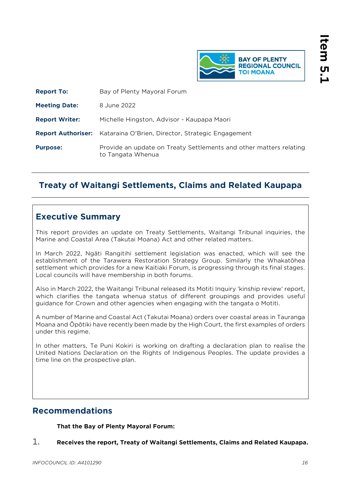

<span id="page-15-0"></span>

| <b>Report To:</b>     | Bay of Plenty Mayoral Forum                                                             |
|-----------------------|-----------------------------------------------------------------------------------------|
| <b>Meeting Date:</b>  | 8 June 2022                                                                             |
| <b>Report Writer:</b> | Michelle Hingston, Advisor - Kaupapa Maori                                              |
|                       | <b>Report Authoriser:</b> Kataraina O'Brien, Director, Strategic Engagement             |
| <b>Purpose:</b>       | Provide an update on Treaty Settlements and other matters relating<br>to Tangata Whenua |

## **Treaty of Waitangi Settlements, Claims and Related Kaupapa**

## **Executive Summary**

This report provides an update on Treaty Settlements, Waitangi Tribunal inquiries, the Marine and Coastal Area (Takutai Moana) Act and other related matters.

In March 2022, Ngāti Rangitihi settlement legislation was enacted, which will see the establishment of the Tarawera Restoration Strategy Group. Similarly the Whakatōhea settlement which provides for a new Kaitiaki Forum, is progressing through its final stages. Local councils will have membership in both forums.

Also in March 2022, the Waitangi Tribunal released its Motiti Inquiry 'kinship review' report, which clarifies the tangata whenua status of different groupings and provides useful guidance for Crown and other agencies when engaging with the tangata o Motiti.

A number of Marine and Coastal Act (Takutai Moana) orders over coastal areas in Tauranga Moana and Ōpōtiki have recently been made by the High Court, the first examples of orders under this regime.

In other matters, Te Puni Kokiri is working on drafting a declaration plan to realise the United Nations Declaration on the Rights of Indigenous Peoples. The update provides a time line on the prospective plan.

## **Recommendations**

## **That the Bay of Plenty Mayoral Forum:**

1. **Receives the report, Treaty of Waitangi Settlements, Claims and Related Kaupapa.**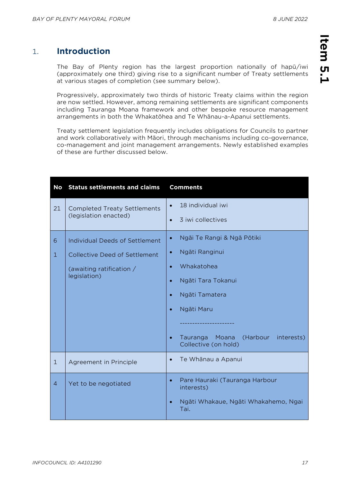## 1. **Introduction**

The Bay of Plenty region has the largest proportion nationally of hapū/iwi (approximately one third) giving rise to a significant number of Treaty settlements at various stages of completion (see summary below).

Progressively, approximately two thirds of historic Treaty claims within the region are now settled. However, among remaining settlements are significant components including Tauranga Moana framework and other bespoke resource management arrangements in both the Whakatōhea and Te Whānau-a-Apanui settlements.

Treaty settlement legislation frequently includes obligations for Councils to partner and work collaboratively with Māori, through mechanisms including co-governance, co-management and joint management arrangements. Newly established examples of these are further discussed below.

| <b>No</b>      | <b>Status settlements and claims</b>     | <b>Comments</b>                                                     |  |  |  |  |
|----------------|------------------------------------------|---------------------------------------------------------------------|--|--|--|--|
| 21             | <b>Completed Treaty Settlements</b>      | 18 individual iwi<br>$\bullet$                                      |  |  |  |  |
|                | (legislation enacted)                    | 3 iwi collectives<br>$\bullet$                                      |  |  |  |  |
| 6              | <b>Individual Deeds of Settlement</b>    | Ngāi Te Rangi & Ngā Pōtiki                                          |  |  |  |  |
| $\mathbf{1}$   | <b>Collective Deed of Settlement</b>     | Ngāti Ranginui<br>$\bullet$                                         |  |  |  |  |
|                | (awaiting ratification /<br>legislation) | Whakatohea<br>$\bullet$                                             |  |  |  |  |
|                |                                          | Ngāti Tara Tokanui                                                  |  |  |  |  |
|                |                                          | Ngāti Tamatera                                                      |  |  |  |  |
|                |                                          | Ngāti Maru                                                          |  |  |  |  |
|                |                                          |                                                                     |  |  |  |  |
|                |                                          | (Harbour<br>interests)<br>Tauranga<br>Moana<br>Collective (on hold) |  |  |  |  |
| $\mathbf{1}$   | Agreement in Principle                   | Te Whānau a Apanui                                                  |  |  |  |  |
| $\overline{4}$ | Yet to be negotiated                     | Pare Hauraki (Tauranga Harbour<br>$\bullet$<br>interests)           |  |  |  |  |
|                |                                          | Ngāti Whakaue, Ngāti Whakahemo, Ngai<br>Tai.                        |  |  |  |  |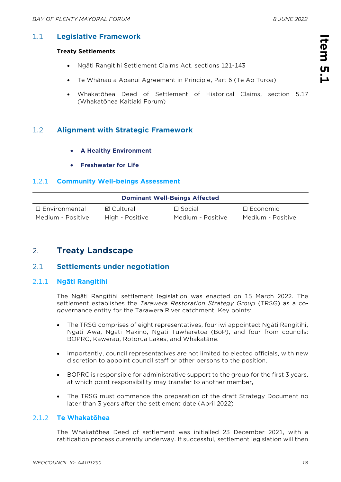# **Item 5.1**  Item 5.

## 1.1 **Legislative Framework**

## **Treaty Settlements**

- Ngāti Rangitihi Settlement Claims Act, sections 121-143
- Te Whānau a Apanui Agreement in Principle, Part 6 (Te Ao Turoa)
- Whakatōhea Deed of Settlement of Historical Claims, section 5.17 (Whakatōhea Kaitiaki Forum)

## 1.2 **Alignment with Strategic Framework**

- **A Healthy Environment**
- **Freshwater for Life**

## 1.2.1 **Community Well-beings Assessment**

| <b>Dominant Well-Beings Affected</b> |                 |                   |                    |
|--------------------------------------|-----------------|-------------------|--------------------|
| $\Box$ Environmental                 | ⊠ Cultural      | $\Box$ Social     | $\square$ Economic |
| Medium - Positive                    | High - Positive | Medium - Positive | Medium - Positive  |

## 2. **Treaty Landscape**

## 2.1 **Settlements under negotiation**

## 2.1.1 **Ngāti Rangitihi**

The Ngāti Rangitihi settlement legislation was enacted on 15 March 2022. The settlement establishes the *Tarawera Restoration Strategy Group* (TRSG) as a cogovernance entity for the Tarawera River catchment. Key points:

- The TRSG comprises of eight representatives, four iwi appointed: Ngāti Rangitihi, Ngāti Awa, Ngāti Mākino, Ngāti Tūwharetoa (BoP), and four from councils: BOPRC, Kawerau, Rotorua Lakes, and Whakatāne.
- Importantly, council representatives are not limited to elected officials, with new discretion to appoint council staff or other persons to the position.
- BOPRC is responsible for administrative support to the group for the first 3 years, at which point responsibility may transfer to another member,
- The TRSG must commence the preparation of the draft Strategy Document no later than 3 years after the settlement date (April 2022)

## 2.1.2 **Te Whakatōhea**

The Whakatōhea Deed of settlement was initialled 23 December 2021, with a ratification process currently underway. If successful, settlement legislation will then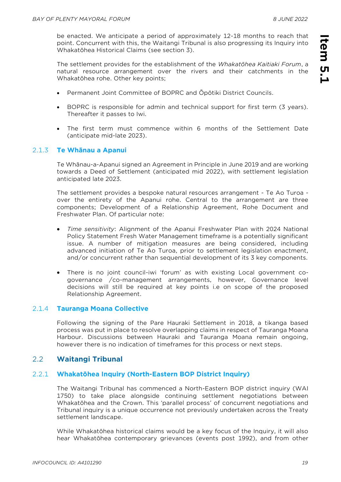be enacted. We anticipate a period of approximately 12-18 months to reach that point. Concurrent with this, the Waitangi Tribunal is also progressing its Inquiry into Whakatōhea Historical Claims (see section 3).

The settlement provides for the establishment of the *Whakatōhea Kaitiaki Forum*, a natural resource arrangement over the rivers and their catchments in the Whakatōhea rohe. Other key points;

- Permanent Joint Committee of BOPRC and Ōpōtiki District Councils.
- BOPRC is responsible for admin and technical support for first term (3 years). Thereafter it passes to Iwi.
- The first term must commence within 6 months of the Settlement Date (anticipate mid-late 2023).

## 2.1.3 **Te Whānau a Apanui**

Te Whānau-a-Apanui signed an Agreement in Principle in June 2019 and are working towards a Deed of Settlement (anticipated mid 2022), with settlement legislation anticipated late 2023.

The settlement provides a bespoke natural resources arrangement - Te Ao Turoa over the entirety of the Apanui rohe. Central to the arrangement are three components; Development of a Relationship Agreement, Rohe Document and Freshwater Plan. Of particular note:

- *Time sensitivity*: Alignment of the Apanui Freshwater Plan with 2024 National Policy Statement Fresh Water Management timeframe is a potentially significant issue. A number of mitigation measures are being considered, including advanced initiation of Te Ao Turoa, prior to settlement legislation enactment, and/or concurrent rather than sequential development of its 3 key components.
- There is no joint council-iwi 'forum' as with existing Local government cogovernance /co-management arrangements, however, Governance level decisions will still be required at key points i.e on scope of the proposed Relationship Agreement.

## 2.1.4 **Tauranga Moana Collective**

Following the signing of the Pare Hauraki Settlement in 2018, a tikanga based process was put in place to resolve overlapping claims in respect of Tauranga Moana Harbour. Discussions between Hauraki and Tauranga Moana remain ongoing, however there is no indication of timeframes for this process or next steps.

## 2.2 **Waitangi Tribunal**

## 2.2.1 **Whakatōhea Inquiry (North-Eastern BOP District Inquiry)**

The Waitangi Tribunal has commenced a North-Eastern BOP district inquiry (WAI 1750) to take place alongside continuing settlement negotiations between Whakatōhea and the Crown. This 'parallel process' of concurrent negotiations and Tribunal inquiry is a unique occurrence not previously undertaken across the Treaty settlement landscape.

While Whakatōhea historical claims would be a key focus of the Inquiry, it will also hear Whakatōhea contemporary grievances (events post 1992), and from other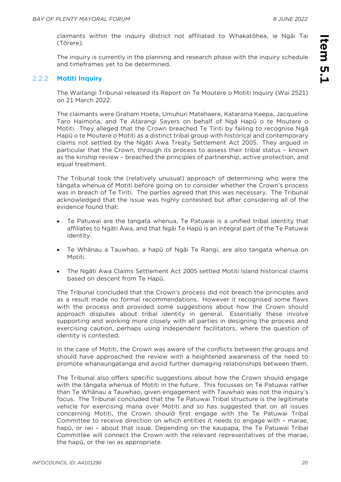claimants within the inquiry district not affiliated to Whakatōhea, ie Ngāi Tai (Tōrere).

The inquiry is currently in the planning and research phase with the inquiry schedule and timeframes yet to be determined.

## 2.2.2 **Motiti Inquiry**

The Waitangi Tribunal released its Report on Te Moutere o Motiti Inquiry (Wai 2521) on 21 March 2022.

The claimants were Graham Hoete, Umuhuri Matehaere, Kataraina Keepa, Jacqueline Taro Haimona, and Te Atarangi Sayers on behalf of Ngā Hapū o te Moutere o Motiti. They alleged that the Crown breached Te Tiriti by failing to recognise Ngā Hapū o te Moutere o Motiti as a distinct tribal group with historical and contemporary claims not settled by the Ngāti Awa Treaty Settlement Act 2005. They argued in particular that the Crown, through its process to assess their tribal status – known as the kinship review – breached the principles of partnership, active protection, and equal treatment.

The Tribunal took the (relatively unusual) approach of determining who were the tāngata whenua of Motiti before going on to consider whether the Crown's process was in breach of Te Tiriti. The parties agreed that this was necessary. The Tribunal acknowledged that the issue was highly contested but after considering all of the evidence found that:

- Te Patuwai are the tangata whenua, Te Patuwai is a unified tribal identity that affiliates to Ngāti Awa, and that Ngāi Te Hapū is an integral part of the Te Patuwai identity.
- Te Whānau a Tauwhao, a hapū of Ngāi Te Rangi, are also tangata whenua on Motiti.
- The Ngāti Awa Claims Settlement Act 2005 settled Motiti Island historical claims based on descent from Te Hapū.

The Tribunal concluded that the Crown's process did not breach the principles and as a result made no formal recommendations. However it recognised some flaws with the process and provided some suggestions about how the Crown should approach disputes about tribal identity in general. Essentially these involve supporting and working more closely with all parties in designing the process and exercising caution, perhaps using independent facilitators, where the question of identity is contested.

In the case of Motiti, the Crown was aware of the conflicts between the groups and should have approached the review with a heightened awareness of the need to promote whanaungatanga and avoid further damaging relationships between them.

The Tribunal also offers specific suggestions about how the Crown should engage with the tāngata whenua of Motiti in the future. This focusses on Te Patuwai rather than Te Whānau a Tauwhao, given engagement with Tauwhao was not the inquiry's focus. The Tribunal concluded that the Te Patuwai Tribal structure is the legitimate vehicle for exercising mana over Motiti and so has suggested that on all issues concerning Motiti, the Crown should first engage with the Te Patuwai Tribal Committee to receive direction on which entities it needs to engage with – marae, hapū, or iwi – about that issue. Depending on the kaupapa, the Te Patuwai Tribal Committee will connect the Crown with the relevant representatives of the marae, the hapū, or the iwi as appropriate.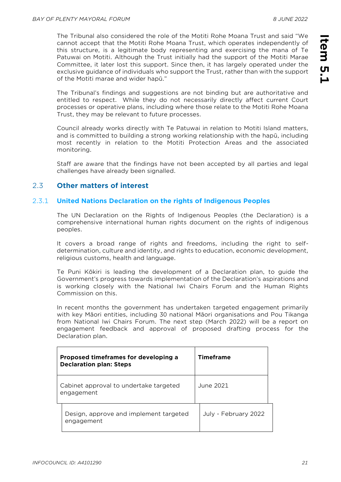The Tribunal also considered the role of the Motiti Rohe Moana Trust and said "We cannot accept that the Motiti Rohe Moana Trust, which operates independently of this structure, is a legitimate body representing and exercising the mana of Te Patuwai on Motiti. Although the Trust initially had the support of the Motiti Marae Committee, it later lost this support. Since then, it has largely operated under the exclusive guidance of individuals who support the Trust, rather than with the support of the Motiti marae and wider hapū."

The Tribunal's findings and suggestions are not binding but are authoritative and entitled to respect. While they do not necessarily directly affect current Court processes or operative plans, including where those relate to the Motiti Rohe Moana Trust, they may be relevant to future processes.

Council already works directly with Te Patuwai in relation to Motiti Island matters, and is committed to building a strong working relationship with the hapū, including most recently in relation to the Motiti Protection Areas and the associated monitoring.

Staff are aware that the findings have not been accepted by all parties and legal challenges have already been signalled.

## 2.3 **Other matters of interest**

## 2.3.1 **United Nations Declaration on the rights of Indigenous Peoples**

The UN Declaration on the Rights of Indigenous Peoples (the Declaration) is a comprehensive international human rights document on the rights of indigenous peoples.

It covers a broad range of rights and freedoms, including the right to selfdetermination, culture and identity, and rights to education, economic development, religious customs, health and language.

Te Puni Kōkiri is leading the development of a Declaration plan, to guide the Government's progress towards implementation of the Declaration's aspirations and is working closely with the National Iwi Chairs Forum and the Human Rights Commission on this.

In recent months the government has undertaken targeted engagement primarily with key Māori entities, including 30 national Māori organisations and Pou Tikanga from National Iwi Chairs Forum. The next step (March 2022) will be a report on engagement feedback and approval of proposed drafting process for the Declaration plan.

| Proposed timeframes for developing a<br><b>Declaration plan: Steps</b> |                                                      | <b>Timeframe</b> |                      |
|------------------------------------------------------------------------|------------------------------------------------------|------------------|----------------------|
| Cabinet approval to undertake targeted<br>engagement                   |                                                      | June 2021        |                      |
|                                                                        | Design, approve and implement targeted<br>engagement |                  | July - February 2022 |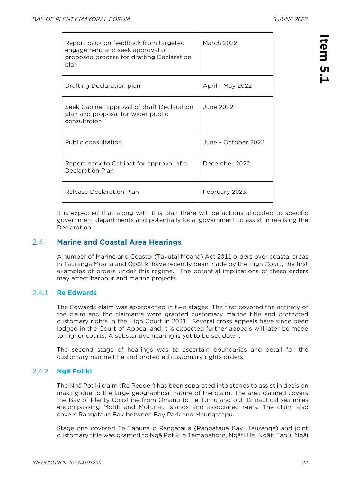| Report back on feedback from targeted<br>engagement and seek approval of<br>proposed process for drafting Declaration<br>plan | March 2022          |
|-------------------------------------------------------------------------------------------------------------------------------|---------------------|
| Drafting Declaration plan                                                                                                     | April - May 2022    |
| Seek Cabinet approval of draft Declaration<br>plan and proposal for wider public<br>consultation                              | June 2022           |
| Public consultation                                                                                                           | June - October 2022 |
| Report back to Cabinet for approval of a<br>Declaration Plan                                                                  | December 2022       |
| Release Declaration Plan                                                                                                      | February 2023       |

It is expected that along with this plan there will be actions allocated to specific government departments and potentially local government to assist in realising the Declaration.

## 2.4 **Marine and Coastal Area Hearings**

A number of Marine and Coastal (Takutai Moana) Act 2011 orders over coastal areas in Tauranga Moana and Ōpōtiki have recently been made by the High Court, the first examples of orders under this regime. The potential implications of these orders may affect harbour and marine projects.

## 2.4.1 **Re Edwards**

The Edwards claim was approached in two stages. The first covered the entirety of the claim and the claimants were granted customary marine title and protected customary rights in the High Court in 2021. Several cross appeals have since been lodged in the Court of Appeal and it is expected further appeals will later be made to higher courts. A substantive hearing is yet to be set down.

The second stage of hearings was to ascertain boundaries and detail for the customary marine title and protected customary rights orders.

## 2.4.2 **Ngā Potiki**

The Ngā Potiki claim (Re Reeder) has been separated into stages to assist in decision making due to the large geographical nature of the claim. The area claimed covers the Bay of Plenty Coastline from Ōmanu to Te Tumu and out 12 nautical sea miles encompassing Motiti and Motunau Islands and associated reefs. The claim also covers Rangataua Bay between Bay Park and Maungatapu.

Stage one covered Te Tahuna o Rangataua (Rangataua Bay, Tauranga) and joint customary title was granted to Ngā Potiki o Tamapahore, Ngāti He, Ngāti Tapu, Ngāi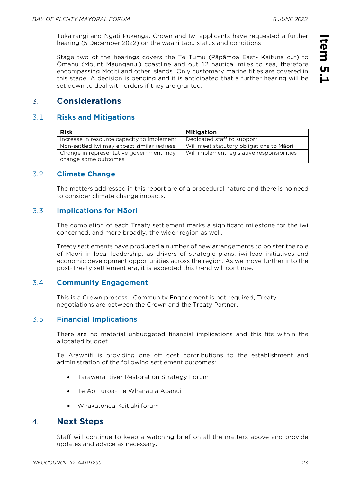Tukairangi and Ngāti Pūkenga. Crown and Iwi applicants have requested a further hearing (5 December 2022) on the waahi tapu status and conditions.

Stage two of the hearings covers the Te Tumu (Pāpāmoa East- Kaituna cut) to Ōmanu (Mount Maunganui) coastline and out 12 nautical miles to sea, therefore encompassing Motiti and other islands. Only customary marine titles are covered in this stage. A decision is pending and it is anticipated that a further hearing will be set down to deal with orders if they are granted.

## 3. **Considerations**

## 3.1 **Risks and Mitigations**

| <b>Risk</b>                                | <b>Mitigation</b>                           |
|--------------------------------------------|---------------------------------------------|
| Increase in resource capacity to implement | Dedicated staff to support                  |
| Non-settled Iwi may expect similar redress | Will meet statutory obligations to Māori    |
| Change in representative government may    | Will implement legislative responsibilities |
| change some outcomes                       |                                             |

## 3.2 **Climate Change**

The matters addressed in this report are of a procedural nature and there is no need to consider climate change impacts.

## 3.3 **Implications for Māori**

The completion of each Treaty settlement marks a significant milestone for the iwi concerned, and more broadly, the wider region as well.

Treaty settlements have produced a number of new arrangements to bolster the role of Maori in local leadership, as drivers of strategic plans, iwi-lead initiatives and economic development opportunities across the region. As we move further into the post-Treaty settlement era, it is expected this trend will continue.

## 3.4 **Community Engagement**

This is a Crown process. Community Engagement is not required, Treaty negotiations are between the Crown and the Treaty Partner.

## 3.5 **Financial Implications**

There are no material unbudgeted financial implications and this fits within the allocated budget.

Te Arawhiti is providing one off cost contributions to the establishment and administration of the following settlement outcomes:

- Tarawera River Restoration Strategy Forum
- Te Ao Turoa- Te Whānau a Apanui
- Whakatōhea Kaitiaki forum

## 4. **Next Steps**

Staff will continue to keep a watching brief on all the matters above and provide updates and advice as necessary.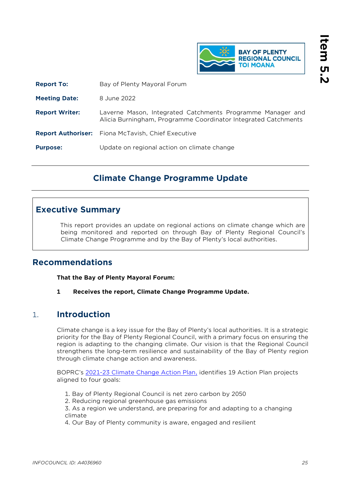

<span id="page-24-0"></span>

| <b>Report To:</b>     | Bay of Plenty Mayoral Forum                                                                                                  |
|-----------------------|------------------------------------------------------------------------------------------------------------------------------|
| <b>Meeting Date:</b>  | 8 June 2022                                                                                                                  |
| <b>Report Writer:</b> | Laverne Mason, Integrated Catchments Programme Manager and<br>Alicia Burningham, Programme Coordinator Integrated Catchments |
|                       | <b>Report Authoriser:</b> Fiona McTavish, Chief Executive                                                                    |
| <b>Purpose:</b>       | Update on regional action on climate change                                                                                  |

## **Climate Change Programme Update**

## **Executive Summary**

This report provides an update on regional actions on climate change which are being monitored and reported on through Bay of Plenty Regional Council's Climate Change Programme and by the Bay of Plenty's local authorities.

## **Recommendations**

**That the Bay of Plenty Mayoral Forum:**

**1 Receives the report, Climate Change Programme Update.**

## 1. **Introduction**

Climate change is a key issue for the Bay of Plenty's local authorities. It is a strategic priority for the Bay of Plenty Regional Council, with a primary focus on ensuring the region is adapting to the changing climate. Our vision is that the Regional Council strengthens the long-term resilience and sustainability of the Bay of Plenty region through climate change action and awareness.

BOPRC's [2021-23 Climate Change Action Plan,](https://atlas.boprc.govt.nz/api/v1/edms/document/A3896371/content) identifies 19 Action Plan projects aligned to four goals:

- 1. Bay of Plenty Regional Council is net zero carbon by 2050
- 2. Reducing regional greenhouse gas emissions

3. As a region we understand, are preparing for and adapting to a changing climate

4. Our Bay of Plenty community is aware, engaged and resilient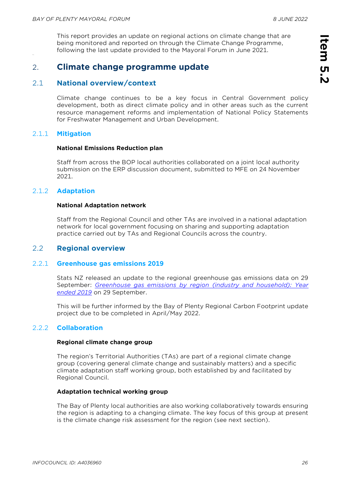This report provides an update on regional actions on climate change that are being monitored and reported on through the Climate Change Programme, following the last update provided to the Mayoral Forum in June 2021.

## 2. **Climate change programme update**

## 2.1 **National overview/context**

Climate change continues to be a key focus in Central Government policy development, both as direct climate policy and in other areas such as the current resource management reforms and implementation of National Policy Statements for Freshwater Management and Urban Development.

## 2.1.1 **Mitigation**

#### **National Emissions Reduction plan**

Staff from across the BOP local authorities collaborated on a joint local authority submission on the ERP discussion document, submitted to MFE on 24 November 2021.

## 2.1.2 **Adaptation**

#### **National Adaptation network**

Staff from the Regional Council and other TAs are involved in a national adaptation network for local government focusing on sharing and supporting adaptation practice carried out by TAs and Regional Councils across the country.

## 2.2 **Regional overview**

## 2.2.1 **Greenhouse gas emissions 2019**

Stats NZ released an update to the regional greenhouse gas emissions data on 29 September: *[Greenhouse gas emissions by region \(industry and household\): Year](https://www.stats.govt.nz/news/coal-use-drives-up-regional-emissions-in-2019)  [ended 2019](https://www.stats.govt.nz/news/coal-use-drives-up-regional-emissions-in-2019)* on 29 September.

This will be further informed by the Bay of Plenty Regional Carbon Footprint update project due to be completed in April/May 2022.

## 2.2.2 **Collaboration**

#### **Regional climate change group**

The region's Territorial Authorities (TAs) are part of a regional climate change group (covering general climate change and sustainably matters) and a specific climate adaptation staff working group, both established by and facilitated by Regional Council.

#### **Adaptation technical working group**

The Bay of Plenty local authorities are also working collaboratively towards ensuring the region is adapting to a changing climate. The key focus of this group at present is the climate change risk assessment for the region (see next section).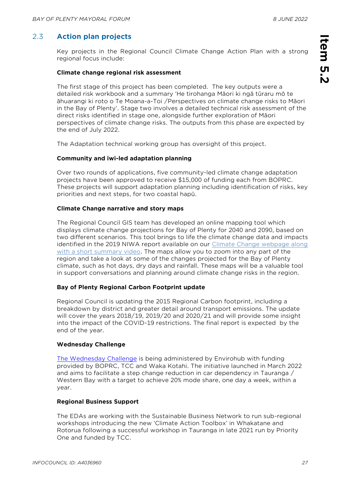## 2.3 **Action plan projects**

Key projects in the Regional Council Climate Change Action Plan with a strong regional focus include:

#### **Climate change regional risk assessment**

The first stage of this project has been completed. The key outputs were a detailed risk workbook and a summary 'He tirohanga Māori ki ngā tūraru mō te āhuarangi ki roto o Te Moana-a-Toi /Perspectives on climate change risks to Māori in the Bay of Plenty'. Stage two involves a detailed technical risk assessment of the direct risks identified in stage one, alongside further exploration of Māori perspectives of climate change risks. The outputs from this phase are expected by the end of July 2022.

The Adaptation technical working group has oversight of this project.

## **Community and iwi-led adaptation planning**

Over two rounds of applications, five community-led climate change adaptation projects have been approved to receive \$15,000 of funding each from BOPRC. These projects will support adaptation planning including identification of risks, key priorities and next steps, for two coastal hapū.

## **Climate Change narrative and story maps**

The Regional Council GIS team has developed an online mapping tool which displays climate change projections for Bay of Plenty for 2040 and 2090, based on two different scenarios. This tool brings to life the climate change data and impacts identified in the 2019 NIWA report available on our [Climate Change webpage](https://www.boprc.govt.nz/environment/climate-change/climate-change-overview) along with a short summary video. The maps allow you to zoom into any part of the region and take a look at some of the changes projected for the Bay of Plenty climate, such as hot days, dry days and rainfall. These maps will be a valuable tool in support conversations and planning around climate change risks in the region.

## **Bay of Plenty Regional Carbon Footprint update**

Regional Council is updating the 2015 Regional Carbon footprint, including a breakdown by district and greater detail around transport emissions. The update will cover the years 2018/19, 2019/20 and 2020/21 and will provide some insight into the impact of the COVID-19 restrictions. The final report is expected by the end of the year.

## **Wednesday Challenge**

[The Wednesday Challenge](https://www.wednesdaychallenge.co.nz/) is being administered by Envirohub with funding provided by BOPRC, TCC and Waka Kotahi. The initiative launched in March 2022 and aims to facilitate a step change reduction in car dependency in Tauranga / Western Bay with a target to achieve 20% mode share, one day a week, within a year.

## **Regional Business Support**

The EDAs are working with the Sustainable Business Network to run sub-regional workshops introducing the new 'Climate Action Toolbox' in Whakatane and Rotorua following a successful workshop in Tauranga in late 2021 run by Priority One and funded by TCC.